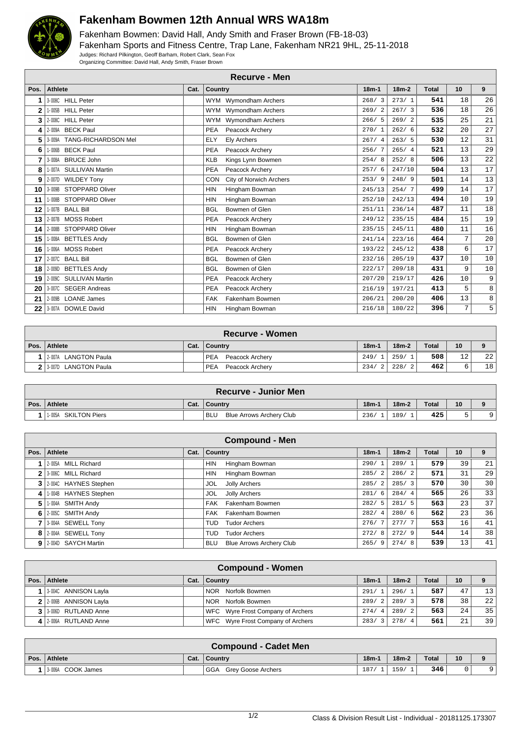

## **Fakenham Bowmen 12th Annual WRS WA18m**

Fakenham Bowmen: David Hall, Andy Smith and Fraser Brown (FB-18-03) Fakenham Sports and Fitness Centre, Trap Lane, Fakenham NR21 9HL, 25-11-2018 Judges: Richard Pilkington, Geoff Barham, Robert Clark, Sean Fox Organizing Committee: David Hall, Andy Smith, Fraser Brown

|                | <b>Recurve - Men</b>             |      |                                       |         |         |              |                 |    |  |  |
|----------------|----------------------------------|------|---------------------------------------|---------|---------|--------------|-----------------|----|--|--|
| Pos.           | <b>Athlete</b>                   | Cat. | <b>Country</b>                        | $18m-1$ | $18m-2$ | <b>Total</b> | 10 <sup>1</sup> | 9  |  |  |
|                | 3-008C HILL Peter                |      | WYM Wymondham Archers                 | 268/3   | 273/1   | 541          | 18              | 26 |  |  |
| $\overline{2}$ | 1-005B HILL Peter                |      | WYM Wymondham Archers                 | 269/2   | 267/3   | 536          | 18              | 26 |  |  |
| 3              | 2-008C HILL Peter                |      | WYM Wymondham Archers                 | 266/5   | 269/2   | 535          | 25              | 21 |  |  |
| 4              | 2-009A BECK Paul                 |      | Peacock Archery<br><b>PEA</b>         | 270/1   | 262/6   | 532          | 20              | 27 |  |  |
| 5              | 3-009A TANG-RICHARDSON Mel       |      | Ely Archers<br><b>ELY</b>             | 267/4   | 263/5   | 530          | 12              | 31 |  |  |
| 6              | 1-006B BECK Paul                 |      | Peacock Archery<br><b>PEA</b>         | 256/7   | 265/4   | 521          | 13              | 29 |  |  |
| 7              | 3-008A BRUCE John                |      | <b>KLB</b><br>Kings Lynn Bowmen       | 254/8   | 252/8   | 506          | 13              | 22 |  |  |
| 8              | <b>SULLIVAN Martin</b><br>1-007A |      | <b>PEA</b><br>Peacock Archery         | 257/6   | 247/10  | 504          | 13              | 17 |  |  |
| 9              | 2-007D WILDEY Tony               |      | City of Norwich Archers<br><b>CON</b> | 253/9   | 248/9   | 501          | 14              | 13 |  |  |
| 10             | 3-009B STOPPARD Oliver           |      | <b>HIN</b><br>Hingham Bowman          | 245/13  | 254/7   | 499          | 14              | 17 |  |  |
| 11             | 1-008B STOPPARD Oliver           |      | Hingham Bowman<br><b>HIN</b>          | 252/10  | 242/13  | 494          | 10              | 19 |  |  |
| 12             | 1-007B BALL Bill                 |      | <b>BGL</b><br>Bowmen of Glen          | 251/11  | 236/14  | 487          | 11              | 18 |  |  |
| 13             | 2-007B MOSS Robert               |      | <b>PEA</b><br>Peacock Archery         | 249/12  | 235/15  | 484          | 15              | 19 |  |  |
| 14             | 2-008B STOPPARD Oliver           |      | <b>HIN</b><br>Hingham Bowman          | 235/15  | 245/11  | 480          | 11              | 16 |  |  |
| 15             | 1-008A BETTLES Andy              |      | Bowmen of Glen<br><b>BGL</b>          | 241/14  | 223/16  | 464          | 7               | 20 |  |  |
| 16             | 1-006A MOSS Robert               |      | Peacock Archery<br><b>PEA</b>         | 193/22  | 245/12  | 438          | 6               | 17 |  |  |
| 17             | 2-007C BALL Bill                 |      | Bowmen of Glen<br><b>BGL</b>          | 232/16  | 205/19  | 437          | 10              | 10 |  |  |
| 18             | 2-009D BETTLES Andy              |      | Bowmen of Glen<br><b>BGL</b>          | 222/17  | 209/18  | 431          | 9               | 10 |  |  |
| 19             | 2-009C SULLIVAN Martin           |      | <b>PEA</b><br>Peacock Archery         | 207/20  | 219/17  | 426          | 10              | 9  |  |  |
| 20             | 3-007C SEGER Andreas             |      | <b>PEA</b><br>Peacock Archery         | 216/19  | 197/21  | 413          | 5               | 8  |  |  |
| 21             | 2-009B LOANE James               |      | Fakenham Bowmen<br><b>FAK</b>         | 206/21  | 200/20  | 406          | 13              | 8  |  |  |
| 22             | 3-007A DOWLE David               |      | <b>HIN</b><br>Hingham Bowman          | 216/18  | 180/22  | 396          | 7               | 5  |  |  |

| <b>Recurve - Women</b>         |      |                               |         |                        |                  |    |    |  |
|--------------------------------|------|-------------------------------|---------|------------------------|------------------|----|----|--|
| Pos. Athlete                   | Cat. | ∣ Countrv                     | $18m -$ | $18m-2$                | <b>Total</b>     | 10 |    |  |
| <b>LANGTON Paula</b><br>2-007A |      | <b>PEA</b><br>Peacock Archery | 249/    | 259/                   | 508              | 12 | 22 |  |
| 2 3-007D LANGTON Paula         |      | <b>PEA</b><br>Peacock Archerv | 234/    | 228/<br>$\overline{2}$ | 462 <sub>1</sub> | 6  | 18 |  |

| ∖ Recurve - Junior Men  |      |                                 |         |         |       |    |           |  |  |
|-------------------------|------|---------------------------------|---------|---------|-------|----|-----------|--|--|
| Pos. Athlete            | Cat. | Country                         | $18m-1$ | $18m-2$ | Total | 10 |           |  |  |
| SKILTON Piers<br>1-005A |      | Blue Arrows Archery Club<br>BLU | 236/    | 189/    | 425   |    | $\circ$ 1 |  |  |

|    | <b>Compound - Men</b>   |  |                                               |                        |         |              |                 |                 |  |  |
|----|-------------------------|--|-----------------------------------------------|------------------------|---------|--------------|-----------------|-----------------|--|--|
|    | Pos. Athlete            |  | Cat. Country                                  | $18m-1$                | $18m-2$ | <b>Total</b> | 10              | 9               |  |  |
|    | 1 2-005A MILL Richard   |  | <b>HIN</b><br>Hingham Bowman                  | 290/1                  | 289/1   | 579          | 39              | 21              |  |  |
|    | 2 3.0060 MILL Richard   |  | Hingham Bowman<br><b>HIN</b>                  | 285/2                  | 286/2   | 571          | 31              | 29              |  |  |
|    | 3 2004C HAYNES Stephen  |  | Jolly Archers<br>JOL                          | 285/2                  | 285/3   | 570          | 30              | 30 <sup>1</sup> |  |  |
| 41 | 1-004B HAYNES Stephen   |  | Jolly Archers<br>JOL                          | 281/6                  | 284/4   | 565          | 26              | 33              |  |  |
| 5  | 1-004A SMITH Andy       |  | Fakenham Bowmen<br>FAK                        | 282/5                  | 281/5   | 563          | 23              | 37              |  |  |
|    | $6$   2-005C SMITH Andy |  | Fakenham Bowmen<br>FAK                        | 282/<br>$\overline{4}$ | 280/6   | 562          | 23              | 36              |  |  |
|    | 3-004A SEWELL Tony      |  | <b>Tudor Archers</b><br><b>TUD</b>            | 276/7                  | 277/7   | 553          | 16              | 41              |  |  |
|    | 8 2-004A SEWELL Tony    |  | <b>Tudor Archers</b><br>TUD.                  | 272/8                  | 272/9   | 544          | 14 <sub>1</sub> | 38              |  |  |
|    | 9 2-004D SAYCH Martin   |  | <b>Blue Arrows Archery Club</b><br><b>BLU</b> | 265/<br>- 9            | 274/8   | 539          | 13              | 41              |  |  |

| <b>Compound - Women</b> |      |                                   |           |         |              |     |    |  |  |  |
|-------------------------|------|-----------------------------------|-----------|---------|--------------|-----|----|--|--|--|
| Pos.   Athlete          | Cat. | Country                           | $18m - 1$ | $18m-2$ | <b>Total</b> | 10  | 9  |  |  |  |
| 1 3.004C ANNISON Layla  |      | Norfolk Bowmen<br><b>NOR</b>      | 291/1     | 296/1   | 587          | 47  | 13 |  |  |  |
| 2 2-006B ANNISON Layla  |      | Norfolk Bowmen<br><b>NOR</b>      | 289/2     | 289/3   | 578          | 38  | 22 |  |  |  |
| 3 3 3000 RUTLAND Anne   |      | WFC Wyre Frost Company of Archers | 274/4     | 289/2   | 563.         | 2.4 | 35 |  |  |  |
| 4 2-006A RUTLAND Anne   |      | WFC Wyre Frost Company of Archers | 283/3     | 278/4   | 561.         | 21  | 39 |  |  |  |

|                | <b>Compound - Cadet Men</b> |  |                           |         |         |              |    |  |  |  |
|----------------|-----------------------------|--|---------------------------|---------|---------|--------------|----|--|--|--|
| Pos. $\vert$ . | Athlete                     |  | Cat.   Country            | $18m-1$ | $18m-2$ | <b>Total</b> | 10 |  |  |  |
|                | 3.006A COOK James           |  | GGA<br>Grey Goose Archers | 187     | 159/    | 346          |    |  |  |  |